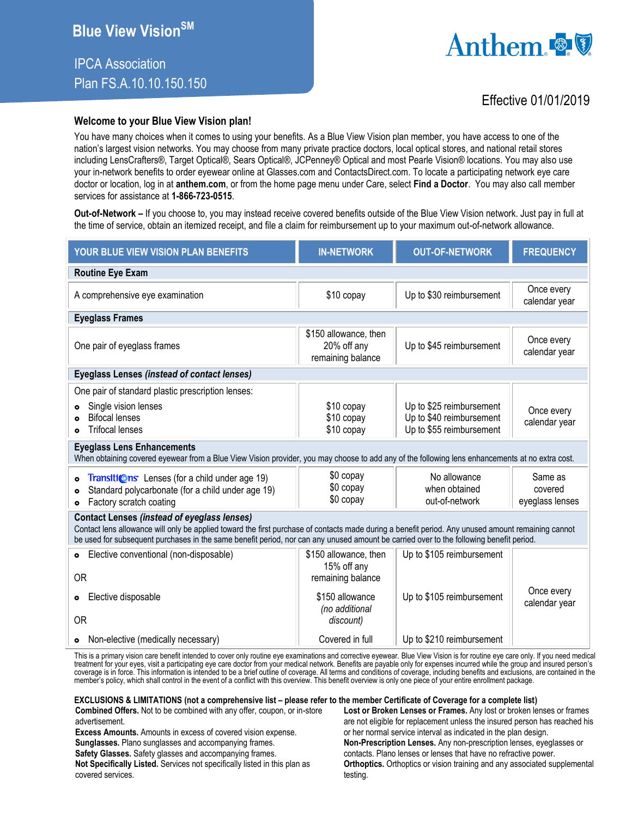# IPCA Association Plan FS.A.10.10.150.150



## Effective 01/01/2019

### **Welcome to your Blue View Vision plan!**

You have many choices when it comes to using your benefits. As a Blue View Vision plan member, you have access to one of the nation's largest vision networks. You may choose from many private practice doctors, local optical stores, and national retail stores including LensCrafters®, Target Optical®, Sears Optical®, JCPenney® Optical and most Pearle Vision® locations. You may also use your in-network benefits to order eyewear online at Glasses.com and ContactsDirect.com. To locate a participating network eye care doctor or location, log in at **anthem.com**, or from the home page menu under Care, select **Find a Doctor**. You may also call member services for assistance at **1-866-723-0515**.

**Out-of-Network –** If you choose to, you may instead receive covered benefits outside of the Blue View Vision network. Just pay in full at the time of service, obtain an itemized receipt, and file a claim for reimbursement up to your maximum out-of-network allowance.

| YOUR BLUE VIEW VISION PLAN BENEFITS                                                                                                                                                                                                                                                                                                                 | <b>IN-NETWORK</b>                                                                                           | <b>OUT-OF-NETWORK</b>                                                            | <b>FREQUENCY</b>                      |  |
|-----------------------------------------------------------------------------------------------------------------------------------------------------------------------------------------------------------------------------------------------------------------------------------------------------------------------------------------------------|-------------------------------------------------------------------------------------------------------------|----------------------------------------------------------------------------------|---------------------------------------|--|
| <b>Routine Eye Exam</b>                                                                                                                                                                                                                                                                                                                             |                                                                                                             |                                                                                  |                                       |  |
| A comprehensive eye examination                                                                                                                                                                                                                                                                                                                     | \$10 copay                                                                                                  | Up to \$30 reimbursement                                                         | Once every<br>calendar year           |  |
| <b>Eyeglass Frames</b>                                                                                                                                                                                                                                                                                                                              |                                                                                                             |                                                                                  |                                       |  |
| One pair of eyeglass frames                                                                                                                                                                                                                                                                                                                         | \$150 allowance, then<br>20% off any<br>remaining balance                                                   | Up to \$45 reimbursement                                                         | Once every<br>calendar year           |  |
| <b>Eyeglass Lenses (instead of contact lenses)</b>                                                                                                                                                                                                                                                                                                  |                                                                                                             |                                                                                  |                                       |  |
| One pair of standard plastic prescription lenses:<br>Single vision lenses<br><b>Bifocal lenses</b><br><b>Trifocal lenses</b>                                                                                                                                                                                                                        | \$10 copay<br>\$10 copay<br>\$10 copay                                                                      | Up to \$25 reimbursement<br>Up to \$40 reimbursement<br>Up to \$55 reimbursement | Once every<br>calendar year           |  |
| <b>Eyeglass Lens Enhancements</b><br>When obtaining covered eyewear from a Blue View Vision provider, you may choose to add any of the following lens enhancements at no extra cost.                                                                                                                                                                |                                                                                                             |                                                                                  |                                       |  |
| <b>Transitions</b> Lenses (for a child under age 19)<br>Standard polycarbonate (for a child under age 19)<br>۰<br>Factory scratch coating<br>$\bullet$                                                                                                                                                                                              | \$0 copay<br>\$0 copay<br>\$0 copay                                                                         | No allowance<br>when obtained<br>out-of-network                                  | Same as<br>covered<br>eyeglass lenses |  |
| <b>Contact Lenses (instead of eyeglass lenses)</b><br>Contact lens allowance will only be applied toward the first purchase of contacts made during a benefit period. Any unused amount remaining cannot<br>be used for subsequent purchases in the same benefit period, nor can any unused amount be carried over to the following benefit period. |                                                                                                             |                                                                                  |                                       |  |
| Elective conventional (non-disposable)<br>$\bullet$<br><b>OR</b><br>Elective disposable<br>$\bullet$<br><b>OR</b>                                                                                                                                                                                                                                   | \$150 allowance, then<br>15% off any<br>remaining balance<br>\$150 allowance<br>(no additional<br>discount) | Up to \$105 reimbursement<br>Up to \$105 reimbursement                           | Once every<br>calendar year           |  |
| Non-elective (medically necessary)<br>$\bullet$                                                                                                                                                                                                                                                                                                     | Covered in full                                                                                             | Up to \$210 reimbursement                                                        |                                       |  |

This is a primary vision care benefit intended to cover only routine eye examinations and corrective eyewear. Blue View Vision is for routine eye care only. If you need medical treatment for your eyes, visit a participating eye care doctor from your medical network. Benefits are payable only for expenses incurred while the group and insured person's coverage is in force. This information is intended to be a brief outline of coverage. All terms and conditions of coverage, including benefits and exclusions, are contained in the member's policy, which shall control in the event of a conflict with this overview. This benefit overview is only one piece of your entire enrollment package.

#### **EXCLUSIONS & LIMITATIONS (not a comprehensive list – please refer to the member Certificate of Coverage for a complete list)**

**Combined Offers.** Not to be combined with any offer, coupon, or in-store advertisement.

**Excess Amounts.** Amounts in excess of covered vision expense. **Sunglasses.** Plano sunglasses and accompanying frames.

**Safety Glasses.** Safety glasses and accompanying frames.

**Not Specifically Listed.** Services not specifically listed in this plan as covered services.

**Lost or Broken Lenses or Frames.** Any lost or broken lenses or frames are not eligible for replacement unless the insured person has reached his or her normal service interval as indicated in the plan design. **Non-Prescription Lenses.** Any non-prescription lenses, eyeglasses or contacts. Plano lenses or lenses that have no refractive power. **Orthoptics.** Orthoptics or vision training and any associated supplemental testing.